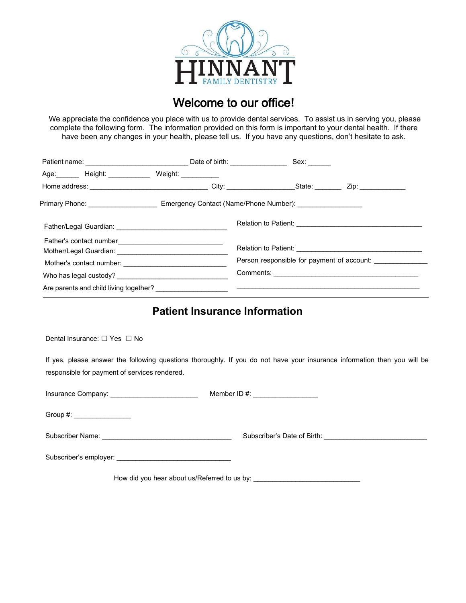

# Welcome to our office**!**

We appreciate the confidence you place with us to provide dental services. To assist us in serving you, please complete the following form. The information provided on this form is important to your dental health. If there have been any changes in your health, please tell us. If you have any questions, don't hesitate to ask.

| Age: Height: Weight: Weight:           |                                                                                                     |
|----------------------------------------|-----------------------------------------------------------------------------------------------------|
|                                        |                                                                                                     |
|                                        | Primary Phone: ___________________________Emergency Contact (Name/Phone Number): __________________ |
|                                        |                                                                                                     |
|                                        |                                                                                                     |
|                                        | Person responsible for payment of account: ____________                                             |
|                                        |                                                                                                     |
| Are parents and child living together? |                                                                                                     |

## **Patient Insurance Information**

Dental Insurance: □ Yes □ No

If yes, please answer the following questions thoroughly. If you do not have your insurance information then you will be responsible for payment of services rendered.

| Insurance Company: ___________________________ | Member ID #: __________________ |
|------------------------------------------------|---------------------------------|
| Group #: _________________                     |                                 |
|                                                |                                 |
|                                                |                                 |
| How did you hear about us/Referred to us by:   |                                 |